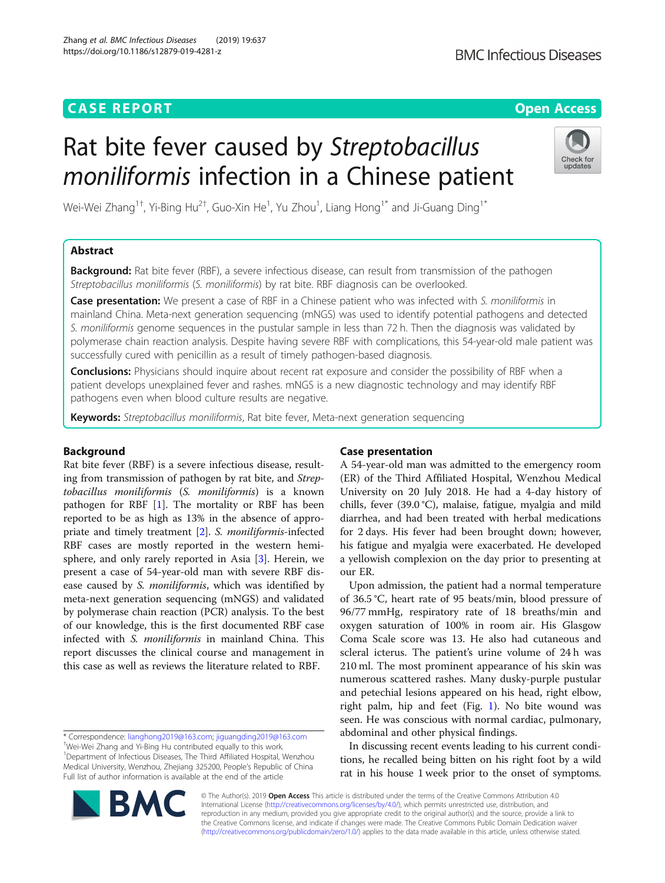Zhang et al. BMC Infectious Diseases (2019) 19:637

https://doi.org/10.1186/s12879-019-4281-z

# Rat bite fever caused by Streptobacillus moniliformis infection in a Chinese patient



Wei-Wei Zhang<sup>1†</sup>, Yi-Bing Hu<sup>2†</sup>, Guo-Xin He<sup>1</sup>, Yu Zhou<sup>1</sup>, Liang Hong<sup>1\*</sup> and Ji-Guang Ding<sup>1\*</sup>

# Abstract

Background: Rat bite fever (RBF), a severe infectious disease, can result from transmission of the pathogen Streptobacillus moniliformis (S. moniliformis) by rat bite. RBF diagnosis can be overlooked.

Case presentation: We present a case of RBF in a Chinese patient who was infected with S. moniliformis in mainland China. Meta-next generation sequencing (mNGS) was used to identify potential pathogens and detected S. moniliformis genome sequences in the pustular sample in less than 72 h. Then the diagnosis was validated by polymerase chain reaction analysis. Despite having severe RBF with complications, this 54-year-old male patient was successfully cured with penicillin as a result of timely pathogen-based diagnosis.

**Conclusions:** Physicians should inquire about recent rat exposure and consider the possibility of RBF when a patient develops unexplained fever and rashes. mNGS is a new diagnostic technology and may identify RBF pathogens even when blood culture results are negative.

Keywords: Streptobacillus moniliformis, Rat bite fever, Meta-next generation sequencing

# Background

Rat bite fever (RBF) is a severe infectious disease, resulting from transmission of pathogen by rat bite, and Streptobacillus moniliformis (S. moniliformis) is a known pathogen for RBF [\[1](#page-3-0)]. The mortality or RBF has been reported to be as high as 13% in the absence of appropriate and timely treatment [[2\]](#page-3-0). S. moniliformis-infected RBF cases are mostly reported in the western hemisphere, and only rarely reported in Asia [\[3](#page-3-0)]. Herein, we present a case of 54-year-old man with severe RBF disease caused by S. moniliformis, which was identified by meta-next generation sequencing (mNGS) and validated by polymerase chain reaction (PCR) analysis. To the best of our knowledge, this is the first documented RBF case infected with S. moniliformis in mainland China. This report discusses the clinical course and management in this case as well as reviews the literature related to RBF.

Wei-Wei Zhang and Yi-Bing Hu contributed equally to this work. <sup>1</sup>Department of Infectious Diseases, The Third Affiliated Hospital, Wenzhou Medical University, Wenzhou, Zhejiang 325200, People's Republic of China Full list of author information is available at the end of the article

# Case presentation

A 54-year-old man was admitted to the emergency room (ER) of the Third Affiliated Hospital, Wenzhou Medical University on 20 July 2018. He had a 4-day history of chills, fever (39.0 °C), malaise, fatigue, myalgia and mild diarrhea, and had been treated with herbal medications for 2 days. His fever had been brought down; however, his fatigue and myalgia were exacerbated. He developed a yellowish complexion on the day prior to presenting at our ER.

Upon admission, the patient had a normal temperature of 36.5 °C, heart rate of 95 beats/min, blood pressure of 96/77 mmHg, respiratory rate of 18 breaths/min and oxygen saturation of 100% in room air. His Glasgow Coma Scale score was 13. He also had cutaneous and scleral icterus. The patient's urine volume of 24 h was 210 ml. The most prominent appearance of his skin was numerous scattered rashes. Many dusky-purple pustular and petechial lesions appeared on his head, right elbow, right palm, hip and feet (Fig. [1](#page-1-0)). No bite wound was seen. He was conscious with normal cardiac, pulmonary, abdominal and other physical findings.

In discussing recent events leading to his current conditions, he recalled being bitten on his right foot by a wild rat in his house 1 week prior to the onset of symptoms.



© The Author(s). 2019 Open Access This article is distributed under the terms of the Creative Commons Attribution 4.0 International License [\(http://creativecommons.org/licenses/by/4.0/](http://creativecommons.org/licenses/by/4.0/)), which permits unrestricted use, distribution, and reproduction in any medium, provided you give appropriate credit to the original author(s) and the source, provide a link to the Creative Commons license, and indicate if changes were made. The Creative Commons Public Domain Dedication waiver [\(http://creativecommons.org/publicdomain/zero/1.0/](http://creativecommons.org/publicdomain/zero/1.0/)) applies to the data made available in this article, unless otherwise stated.

<sup>\*</sup> Correspondence: [lianghong2019@163.com](mailto:lianghong2019@163.com); [jiguangding2019@163.com](mailto:jiguangding2019@163.com) †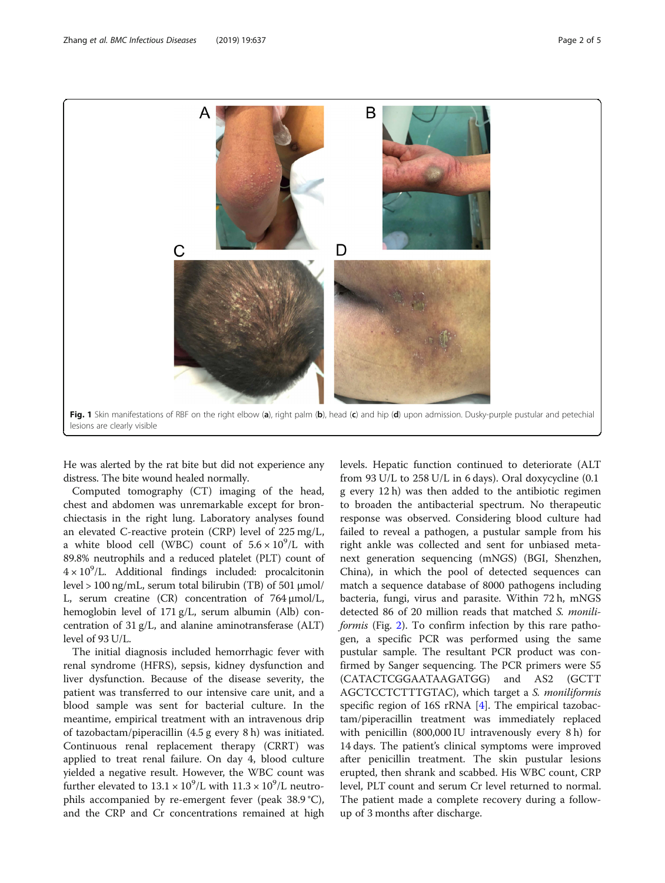<span id="page-1-0"></span>

He was alerted by the rat bite but did not experience any distress. The bite wound healed normally.

Computed tomography (CT) imaging of the head, chest and abdomen was unremarkable except for bronchiectasis in the right lung. Laboratory analyses found an elevated C-reactive protein (CRP) level of 225 mg/L, a white blood cell (WBC) count of  $5.6 \times 10^9$ /L with 89.8% neutrophils and a reduced platelet (PLT) count of  $4 \times 10^9$ /L. Additional findings included: procalcitonin level > 100 ng/mL, serum total bilirubin (TB) of 501 μmol/ L, serum creatine (CR) concentration of 764 μmol/L, hemoglobin level of 171 g/L, serum albumin (Alb) concentration of 31 g/L, and alanine aminotransferase (ALT) level of 93 U/L.

The initial diagnosis included hemorrhagic fever with renal syndrome (HFRS), sepsis, kidney dysfunction and liver dysfunction. Because of the disease severity, the patient was transferred to our intensive care unit, and a blood sample was sent for bacterial culture. In the meantime, empirical treatment with an intravenous drip of tazobactam/piperacillin (4.5 g every 8 h) was initiated. Continuous renal replacement therapy (CRRT) was applied to treat renal failure. On day 4, blood culture yielded a negative result. However, the WBC count was further elevated to  $13.1 \times 10^9$ /L with  $11.3 \times 10^9$ /L neutrophils accompanied by re-emergent fever (peak 38.9 °C), and the CRP and Cr concentrations remained at high levels. Hepatic function continued to deteriorate (ALT from 93 U/L to 258 U/L in 6 days). Oral doxycycline (0.1 g every 12 h) was then added to the antibiotic regimen to broaden the antibacterial spectrum. No therapeutic response was observed. Considering blood culture had failed to reveal a pathogen, a pustular sample from his right ankle was collected and sent for unbiased metanext generation sequencing (mNGS) (BGI, Shenzhen, China), in which the pool of detected sequences can match a sequence database of 8000 pathogens including bacteria, fungi, virus and parasite. Within 72 h, mNGS detected 86 of 20 million reads that matched S. moniliformis (Fig. [2\)](#page-2-0). To confirm infection by this rare pathogen, a specific PCR was performed using the same pustular sample. The resultant PCR product was confirmed by Sanger sequencing. The PCR primers were S5 (CATACTCGGAATAAGATGG) and AS2 (GCTT AGCTCCTCTTTGTAC), which target a S. moniliformis specific region of 16S rRNA [\[4\]](#page-3-0). The empirical tazobactam/piperacillin treatment was immediately replaced with penicillin (800,000 IU intravenously every 8 h) for 14 days. The patient's clinical symptoms were improved after penicillin treatment. The skin pustular lesions erupted, then shrank and scabbed. His WBC count, CRP level, PLT count and serum Cr level returned to normal. The patient made a complete recovery during a followup of 3 months after discharge.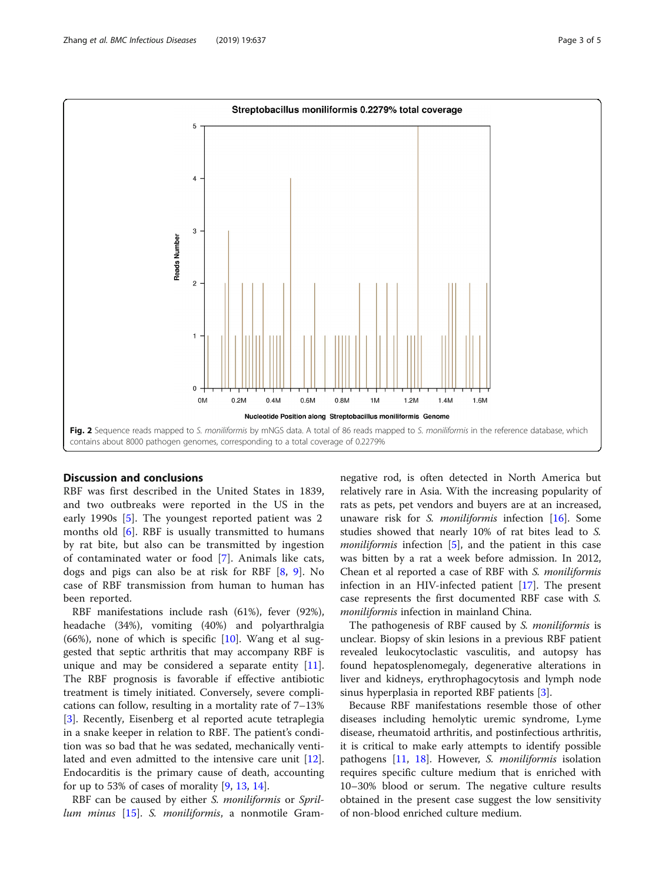<span id="page-2-0"></span>

## Discussion and conclusions

RBF was first described in the United States in 1839, and two outbreaks were reported in the US in the early 1990s [[5\]](#page-3-0). The youngest reported patient was 2 months old [[6\]](#page-3-0). RBF is usually transmitted to humans by rat bite, but also can be transmitted by ingestion of contaminated water or food [\[7](#page-3-0)]. Animals like cats, dogs and pigs can also be at risk for RBF [[8,](#page-4-0) [9\]](#page-4-0). No case of RBF transmission from human to human has been reported.

RBF manifestations include rash (61%), fever (92%), headache (34%), vomiting (40%) and polyarthralgia (66%), none of which is specific [\[10](#page-4-0)]. Wang et al suggested that septic arthritis that may accompany RBF is unique and may be considered a separate entity [\[11](#page-4-0)]. The RBF prognosis is favorable if effective antibiotic treatment is timely initiated. Conversely, severe complications can follow, resulting in a mortality rate of 7–13% [[3\]](#page-3-0). Recently, Eisenberg et al reported acute tetraplegia in a snake keeper in relation to RBF. The patient's condition was so bad that he was sedated, mechanically ventilated and even admitted to the intensive care unit [\[12](#page-4-0)]. Endocarditis is the primary cause of death, accounting for up to 53% of cases of morality [\[9](#page-4-0), [13](#page-4-0), [14](#page-4-0)].

RBF can be caused by either *S. moniliformis* or *Spril-*lum minus [[15](#page-4-0)]. S. moniliformis, a nonmotile Gramnegative rod, is often detected in North America but relatively rare in Asia. With the increasing popularity of rats as pets, pet vendors and buyers are at an increased, unaware risk for S. *moniliformis* infection [\[16](#page-4-0)]. Some studies showed that nearly 10% of rat bites lead to S. *moniliformis* infection  $[5]$  $[5]$ , and the patient in this case was bitten by a rat a week before admission. In 2012, Chean et al reported a case of RBF with S. moniliformis infection in an HIV-infected patient [[17](#page-4-0)]. The present case represents the first documented RBF case with S. moniliformis infection in mainland China.

The pathogenesis of RBF caused by S. moniliformis is unclear. Biopsy of skin lesions in a previous RBF patient revealed leukocytoclastic vasculitis, and autopsy has found hepatosplenomegaly, degenerative alterations in liver and kidneys, erythrophagocytosis and lymph node sinus hyperplasia in reported RBF patients [\[3](#page-3-0)].

Because RBF manifestations resemble those of other diseases including hemolytic uremic syndrome, Lyme disease, rheumatoid arthritis, and postinfectious arthritis, it is critical to make early attempts to identify possible pathogens [[11](#page-4-0), [18\]](#page-4-0). However, S. *moniliformis* isolation requires specific culture medium that is enriched with 10–30% blood or serum. The negative culture results obtained in the present case suggest the low sensitivity of non-blood enriched culture medium.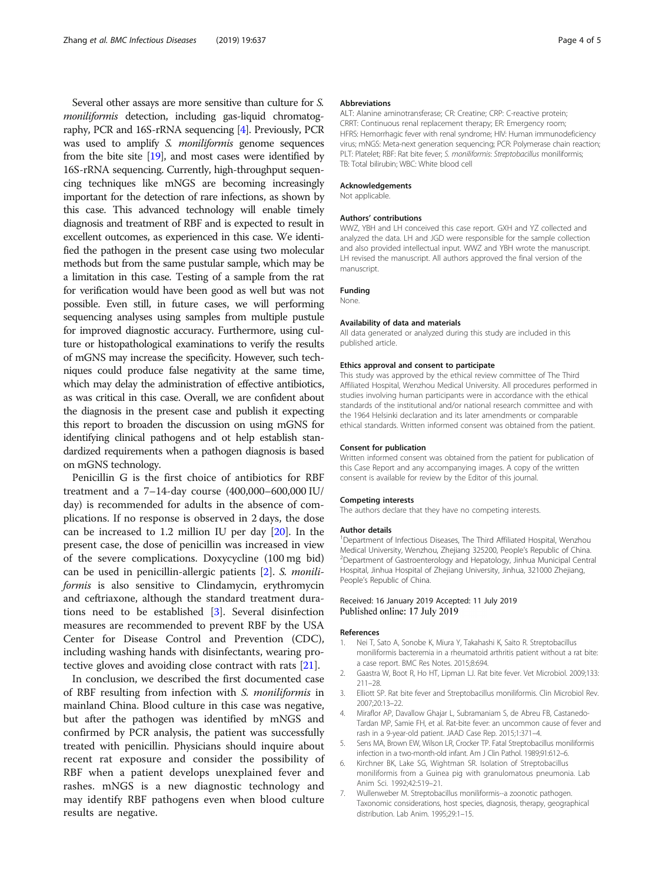<span id="page-3-0"></span>Several other assays are more sensitive than culture for S. moniliformis detection, including gas-liquid chromatography, PCR and 16S-rRNA sequencing [4]. Previously, PCR was used to amplify *S. moniliformis* genome sequences from the bite site [\[19\]](#page-4-0), and most cases were identified by 16S-rRNA sequencing. Currently, high-throughput sequencing techniques like mNGS are becoming increasingly important for the detection of rare infections, as shown by this case. This advanced technology will enable timely diagnosis and treatment of RBF and is expected to result in excellent outcomes, as experienced in this case. We identified the pathogen in the present case using two molecular methods but from the same pustular sample, which may be a limitation in this case. Testing of a sample from the rat for verification would have been good as well but was not possible. Even still, in future cases, we will performing sequencing analyses using samples from multiple pustule for improved diagnostic accuracy. Furthermore, using culture or histopathological examinations to verify the results of mGNS may increase the specificity. However, such techniques could produce false negativity at the same time, which may delay the administration of effective antibiotics, as was critical in this case. Overall, we are confident about the diagnosis in the present case and publish it expecting this report to broaden the discussion on using mGNS for identifying clinical pathogens and ot help establish standardized requirements when a pathogen diagnosis is based on mGNS technology.

Penicillin G is the first choice of antibiotics for RBF treatment and a 7–14-day course (400,000–600,000 IU/ day) is recommended for adults in the absence of complications. If no response is observed in 2 days, the dose can be increased to 1.2 million IU per day [[20](#page-4-0)]. In the present case, the dose of penicillin was increased in view of the severe complications. Doxycycline (100 mg bid) can be used in penicillin-allergic patients [2]. S. moniliformis is also sensitive to Clindamycin, erythromycin and ceftriaxone, although the standard treatment durations need to be established [3]. Several disinfection measures are recommended to prevent RBF by the USA Center for Disease Control and Prevention (CDC), including washing hands with disinfectants, wearing protective gloves and avoiding close contract with rats [[21](#page-4-0)].

In conclusion, we described the first documented case of RBF resulting from infection with S. moniliformis in mainland China. Blood culture in this case was negative, but after the pathogen was identified by mNGS and confirmed by PCR analysis, the patient was successfully treated with penicillin. Physicians should inquire about recent rat exposure and consider the possibility of RBF when a patient develops unexplained fever and rashes. mNGS is a new diagnostic technology and may identify RBF pathogens even when blood culture results are negative.

#### Abbreviations

ALT: Alanine aminotransferase; CR: Creatine; CRP: C-reactive protein; CRRT: Continuous renal replacement therapy; ER: Emergency room; HFRS: Hemorrhagic fever with renal syndrome; HIV: Human immunodeficiency virus; mNGS: Meta-next generation sequencing; PCR: Polymerase chain reaction; PLT: Platelet; RBF: Rat bite fever; S. moniliformis: Streptobacillus moniliformis; TB: Total bilirubin; WBC: White blood cell

#### Acknowledgements

Not applicable.

### Authors' contributions

WWZ, YBH and LH conceived this case report. GXH and YZ collected and analyzed the data. LH and JGD were responsible for the sample collection and also provided intellectual input. WWZ and YBH wrote the manuscript. LH revised the manuscript. All authors approved the final version of the manuscript.

#### Funding

None.

#### Availability of data and materials

All data generated or analyzed during this study are included in this published article.

#### Ethics approval and consent to participate

This study was approved by the ethical review committee of The Third Affiliated Hospital, Wenzhou Medical University. All procedures performed in studies involving human participants were in accordance with the ethical standards of the institutional and/or national research committee and with the 1964 Helsinki declaration and its later amendments or comparable ethical standards. Written informed consent was obtained from the patient.

#### Consent for publication

Written informed consent was obtained from the patient for publication of this Case Report and any accompanying images. A copy of the written consent is available for review by the Editor of this journal.

#### Competing interests

The authors declare that they have no competing interests.

#### Author details

<sup>1</sup>Department of Infectious Diseases, The Third Affiliated Hospital, Wenzhou Medical University, Wenzhou, Zhejiang 325200, People's Republic of China. <sup>2</sup> Department of Gastroenterology and Hepatology, Jinhua Municipal Central Hospital, Jinhua Hospital of Zhejiang University, Jinhua, 321000 Zhejiang, People's Republic of China.

#### Received: 16 January 2019 Accepted: 11 July 2019 Published online: 17 July 2019

#### References

- 1. Nei T, Sato A, Sonobe K, Miura Y, Takahashi K, Saito R. Streptobacillus moniliformis bacteremia in a rheumatoid arthritis patient without a rat bite: a case report. BMC Res Notes. 2015;8:694.
- 2. Gaastra W, Boot R, Ho HT, Lipman LJ. Rat bite fever. Vet Microbiol. 2009;133: 211–28.
- 3. Elliott SP. Rat bite fever and Streptobacillus moniliformis. Clin Microbiol Rev. 2007;20:13–22.
- 4. Miraflor AP, Davallow Ghajar L, Subramaniam S, de Abreu FB, Castanedo-Tardan MP, Samie FH, et al. Rat-bite fever: an uncommon cause of fever and rash in a 9-year-old patient. JAAD Case Rep. 2015;1:371–4.
- 5. Sens MA, Brown EW, Wilson LR, Crocker TP. Fatal Streptobacillus moniliformis infection in a two-month-old infant. Am J Clin Pathol. 1989;91:612–6.
- 6. Kirchner BK, Lake SG, Wightman SR. Isolation of Streptobacillus moniliformis from a Guinea pig with granulomatous pneumonia. Lab Anim Sci. 1992;42:519–21.
- Wullenweber M. Streptobacillus moniliformis--a zoonotic pathogen Taxonomic considerations, host species, diagnosis, therapy, geographical distribution. Lab Anim. 1995;29:1–15.